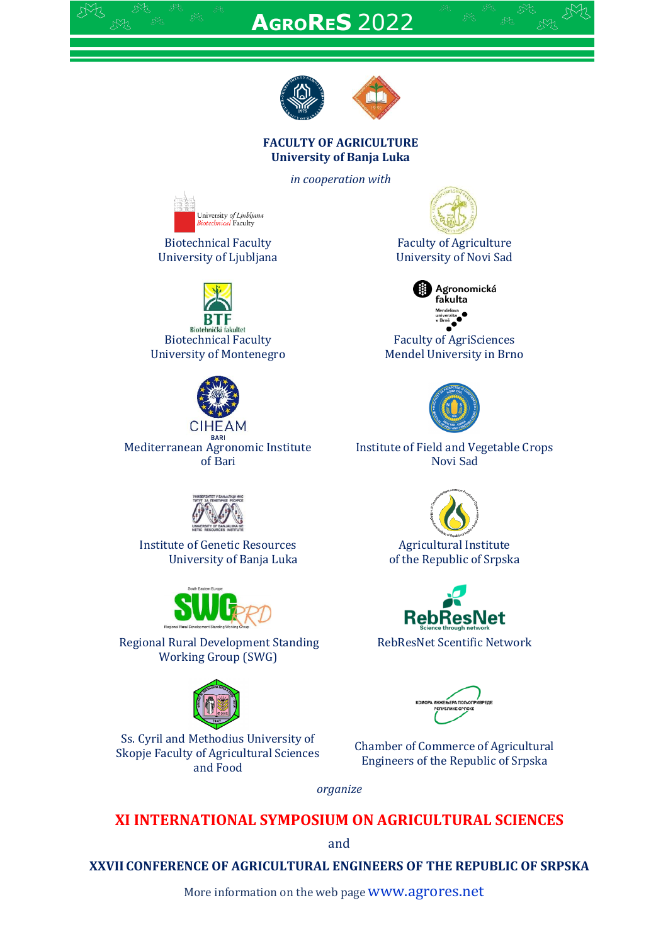# **AGRORES** 2022



#### **FACULTY OF AGRICULTURE University of Banja Luka**

*in cooperation with*



Biotechnical Faculty University of Ljubljana



Biotehnički fakultet Biotechnical Faculty University of Montenegro



Mediterranean Agronomic Institute of Bari



Institute of Genetic Resources University of Banja Luka



Regional Rural Development Standing Working Group (SWG)



Ss. Cyril and Methodius University of Skopje Faculty of Agricultural Sciences and Food



Faculty of Agriculture University of Novi Sad



Faculty of AgriSciences Mendel University in Brno



Institute of Field and Vegetable Crops Novi Sad



Agricultural Institute of the Republic of Srpska



RebResNet Scentific Network

Chamber of Commerce of Agricultural Engineers of the Republic of Srpska

*organize*

**XI INTERNATIONAL SYMPOSIUM ON AGRICULTURAL SCIENCES**

and

**XXVII CONFERENCE OF AGRICULTURAL ENGINEERS OF THE REPUBLIC OF SRPSKA**

More information on the web page **WWW.agrores.net**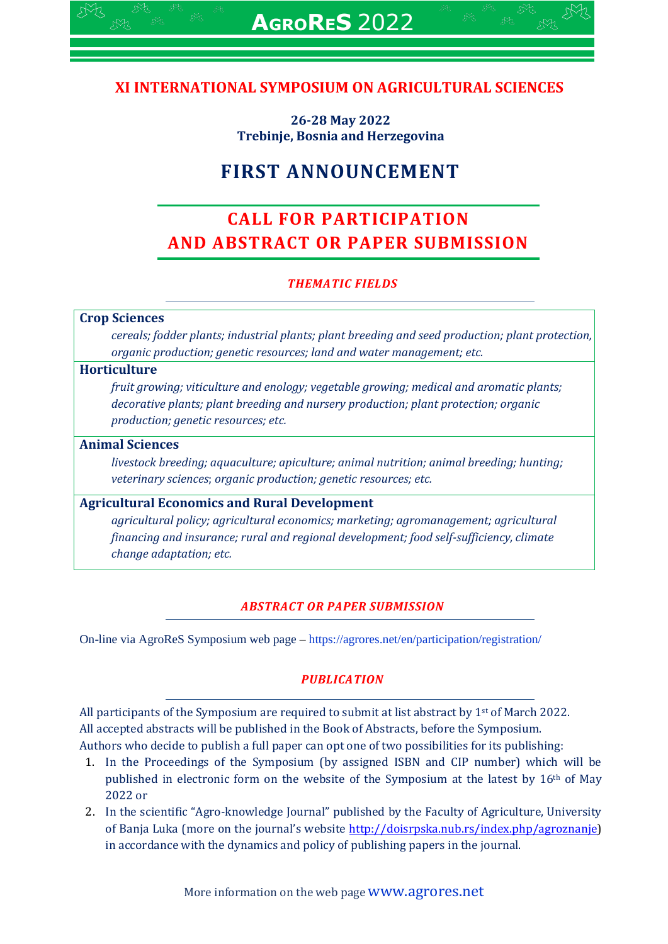# **XI INTERNATIONAL SYMPOSIUM ON AGRICULTURAL SCIENCES**

**26-28 May 2022 Trebinje, Bosnia and Herzegovina**

# **FIRST ANNOUNCEMENT**

# **CALL FOR PARTICIPATION AND ABSTRACT OR PAPER SUBMISSION**

# *THEMATIC FIELDS*

#### **Crop Sciences**

*cereals; fodder plants; industrial plants; plant breeding and seed production; plant protection, organic production; genetic resources; land and water management; etc.*

#### **Horticulture**

*fruit growing; viticulture and enology; vegetable growing; medical and aromatic plants; decorative plants; plant breeding and nursery production; plant protection; organic production; genetic resources; etc.*

#### **Animal Sciences**

*livestock breeding; aquaculture; apiculture; animal nutrition; animal breeding; hunting; veterinary sciences*; *organic production; genetic resources; etc.*

#### **Agricultural Economics and Rural Development**

*agricultural policy; agricultural economics; marketing; agromanagement; agricultural financing and insurance; rural and regional development; food self-sufficiency, climate change adaptation; etc.*

#### *ABSTRACT OR PAPER SUBMISSION*

On-line via AgroReS Symposium web page – <https://agrores.net/en/participation/registration/>

#### *PUBLICATION*

All participants of the Symposium are required to submit at list abstract by  $1<sup>st</sup>$  of March 2022. All accepted abstracts will be published in the Book of Abstracts, before the Symposium. Authors who decide to publish a full paper can opt one of two possibilities for its publishing:

- 1. In the Proceedings of the Symposium (by assigned ISBN and CIP number) which will be published in electronic form on the website of the Symposium at the latest by 16th of May 2022 or
- 2. In the scientific "Agro-knowledge Journal" published by the Faculty of Agriculture, University of Banja Luka (more on the journal's website [http://doisrpska.nub.rs/index.php/agroznanje\)](http://doisrpska.nub.rs/index.php/agroznanje) in accordance with the dynamics and policy of publishing papers in the journal.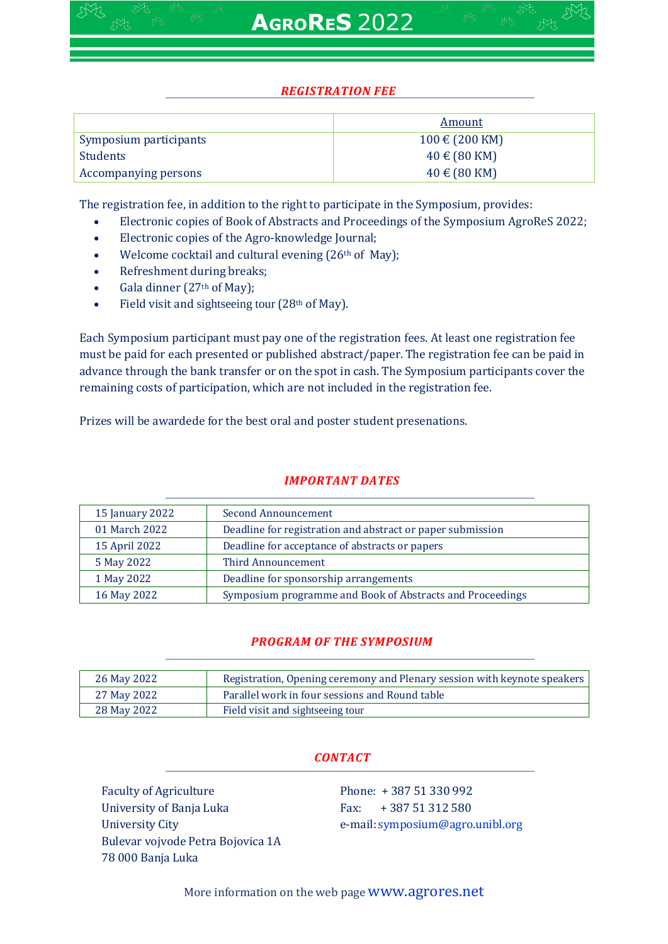|                        | Amount                              |
|------------------------|-------------------------------------|
| Symposium participants | $100 \text{ } \in (200 \text{ KM})$ |
| <b>Students</b>        | $40 \text{ € } (80 \text{ KM})$     |
| Accompanying persons   | $40 \in (80$ KM)                    |

The registration fee, in addition to the right to participate in the Symposium, provides:

- Electronic copies of Book of Abstracts and Proceedings of the Symposium AgroReS 2022;
- Electronic copies of the Agro-knowledge Journal;
- Welcome cocktail and cultural evening (26<sup>th</sup> of May);
- Refreshment during breaks;
- Gala dinner (27th of May);
- Field visit and sightseeing tour (28th of May).

Each Symposium participant must pay one of the registration fees. At least one registration fee must be paid for each presented or published abstract/paper. The registration fee can be paid in advance through the bank transfer or on the spot in cash. The Symposium participants cover the remaining costs of participation, which are not included in the registration fee.

Prizes will be awardede for the best oral and poster student presenations.

# *IMPORTANT DATES*

| 15 January 2022 | Second Announcement                                        |
|-----------------|------------------------------------------------------------|
| 01 March 2022   | Deadline for registration and abstract or paper submission |
| 15 April 2022   | Deadline for acceptance of abstracts or papers             |
| 5 May 2022      | Third Announcement                                         |
| 1 May 2022      | Deadline for sponsorship arrangements                      |
| 16 May 2022     | Symposium programme and Book of Abstracts and Proceedings  |

# *PROGRAM OF THE SYMPOSIUM*

| 26 May 2022 | Registration, Opening ceremony and Plenary session with keynote speakers |
|-------------|--------------------------------------------------------------------------|
| 27 May 2022 | Parallel work in four sessions and Round table                           |
| 28 May 2022 | Field visit and sightseeing tour                                         |

# *CONTACT*

Faculty of Agriculture University of Banja Luka University City Bulevar vojvode Petra Bojovica 1А 78 000 Banja Luka

Phone: + 387 51 330 992 Fax: + 387 51 312 580 e-mail: [symposium@agro.unibl.org](mailto:symposium@agrofabl.org)

More information on the web page **WWW.agrores.net**